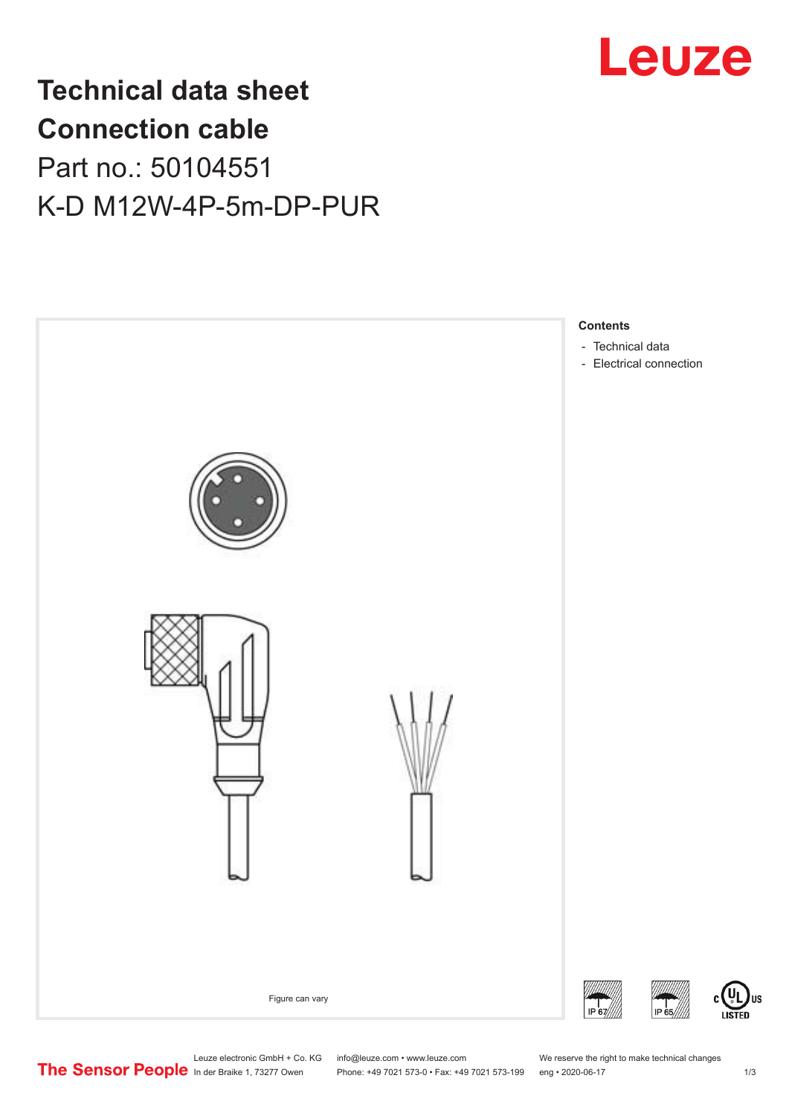

## **Technical data sheet Connection cable** Part no.: 50104551 K-D M12W-4P-5m-DP-PUR



Leuze electronic GmbH + Co. KG info@leuze.com • www.leuze.com We reserve the right to make technical changes<br>
The Sensor People in der Braike 1, 73277 Owen Phone: +49 7021 573-0 • Fax: +49 7021 573-199 eng • 2020-06-17

Phone: +49 7021 573-0 • Fax: +49 7021 573-199 eng • 2020-06-17

US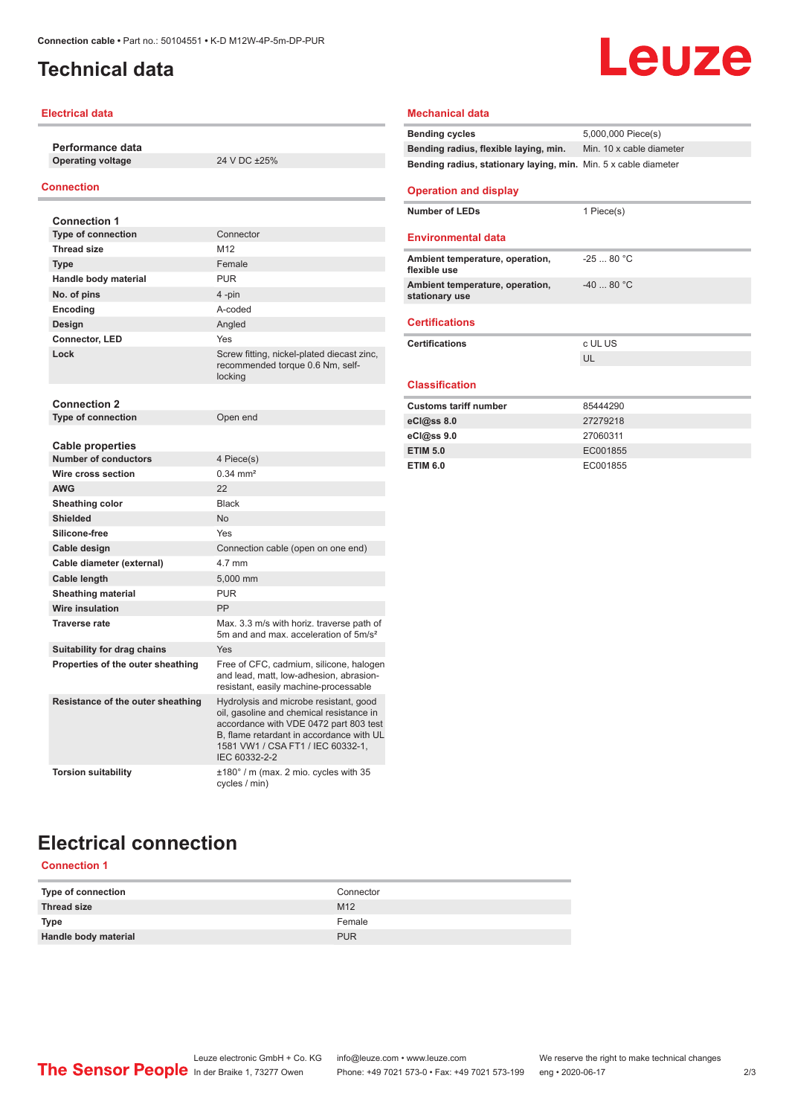## <span id="page-1-0"></span>**Technical data**

#### **Electrical data**

**Performance data Operating voltage** 24 V DC ±25%

#### **Connection**

| <b>Connection 1</b>                                    |                                                                                                                                                                                                                                |
|--------------------------------------------------------|--------------------------------------------------------------------------------------------------------------------------------------------------------------------------------------------------------------------------------|
| <b>Type of connection</b>                              | Connector                                                                                                                                                                                                                      |
| <b>Thread size</b>                                     | M <sub>12</sub>                                                                                                                                                                                                                |
| Type                                                   | Female                                                                                                                                                                                                                         |
| Handle body material                                   | <b>PUR</b>                                                                                                                                                                                                                     |
| No. of pins                                            | 4-pin                                                                                                                                                                                                                          |
| Encoding                                               | A-coded                                                                                                                                                                                                                        |
| Design                                                 | Angled                                                                                                                                                                                                                         |
| <b>Connector, LED</b>                                  | Yes                                                                                                                                                                                                                            |
| Lock                                                   | Screw fitting, nickel-plated diecast zinc,<br>recommended torque 0.6 Nm, self-<br>locking                                                                                                                                      |
| <b>Connection 2</b>                                    |                                                                                                                                                                                                                                |
| <b>Type of connection</b>                              | Open end                                                                                                                                                                                                                       |
| <b>Cable properties</b><br><b>Number of conductors</b> | 4 Piece(s)                                                                                                                                                                                                                     |
| Wire cross section                                     | $0.34 \, \text{mm}^2$                                                                                                                                                                                                          |
| <b>AWG</b>                                             | 22                                                                                                                                                                                                                             |
| Sheathing color                                        | <b>Black</b>                                                                                                                                                                                                                   |
| <b>Shielded</b>                                        | No                                                                                                                                                                                                                             |
| Silicone-free                                          | Yes                                                                                                                                                                                                                            |
| Cable design                                           | Connection cable (open on one end)                                                                                                                                                                                             |
| Cable diameter (external)                              | 4.7 mm                                                                                                                                                                                                                         |
| Cable length                                           | 5.000 mm                                                                                                                                                                                                                       |
| <b>Sheathing material</b>                              | <b>PUR</b>                                                                                                                                                                                                                     |
| Wire insulation                                        | PP                                                                                                                                                                                                                             |
| <b>Traverse rate</b>                                   | Max. 3.3 m/s with horiz. traverse path of<br>5m and and max, acceleration of 5m/s <sup>2</sup>                                                                                                                                 |
| <b>Suitability for drag chains</b>                     | Yes                                                                                                                                                                                                                            |
| Properties of the outer sheathing                      | Free of CFC, cadmium, silicone, halogen<br>and lead, matt, low-adhesion, abrasion-<br>resistant, easily machine-processable                                                                                                    |
| Resistance of the outer sheathing                      | Hydrolysis and microbe resistant, good<br>oil, gasoline and chemical resistance in<br>accordance with VDE 0472 part 803 test<br>B, flame retardant in accordance with UL<br>1581 VW1 / CSA FT1 / IEC 60332-1,<br>IEC 60332-2-2 |
| <b>Torsion suitability</b>                             | ±180° / m (max. 2 mio. cycles with 35<br>cycles / min)                                                                                                                                                                         |

#### **Mechanical data**

| <b>Bending cycles</b>                                           | 5,000,000 Piece(s)       |
|-----------------------------------------------------------------|--------------------------|
| Bending radius, flexible laying, min.                           | Min. 10 x cable diameter |
| Bending radius, stationary laying, min. Min. 5 x cable diameter |                          |

Leuze

#### **Operation and display**

| <b>Number of LEDs</b>                             | 1 Piece(s) |
|---------------------------------------------------|------------|
| <b>Environmental data</b>                         |            |
| Ambient temperature, operation,<br>flexible use   | $-2580 °C$ |
| Ambient temperature, operation,<br>stationary use | $-4080 °C$ |
|                                                   |            |

#### **Certifications**

| <b>Certifications</b> | c UL US |
|-----------------------|---------|
|                       |         |

#### **Classification**

| <b>Customs tariff number</b> | 85444290 |
|------------------------------|----------|
| eC <sub>1</sub> @ss 8.0      | 27279218 |
| $eC/\omega$ ss 9.0           | 27060311 |
| <b>ETIM 5.0</b>              | EC001855 |
| <b>ETIM 6.0</b>              | EC001855 |

## **Electrical connection**

#### **Connection 1**

| Type of connection   | Connector       |
|----------------------|-----------------|
| Thread size          | M <sub>12</sub> |
| <b>Type</b>          | Female          |
| Handle body material | <b>PUR</b>      |